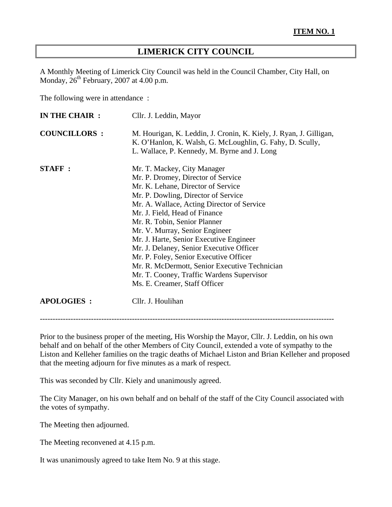# **LIMERICK CITY COUNCIL**

A Monthly Meeting of Limerick City Council was held in the Council Chamber, City Hall, on Monday,  $26<sup>th</sup>$  February, 2007 at 4.00 p.m.

The following were in attendance :

| IN THE CHAIR :      | Cllr. J. Leddin, Mayor                                                                                                                                                                                                                                                                                                                                                                                                                                                                                                                                          |
|---------------------|-----------------------------------------------------------------------------------------------------------------------------------------------------------------------------------------------------------------------------------------------------------------------------------------------------------------------------------------------------------------------------------------------------------------------------------------------------------------------------------------------------------------------------------------------------------------|
| <b>COUNCILLORS:</b> | M. Hourigan, K. Leddin, J. Cronin, K. Kiely, J. Ryan, J. Gilligan,<br>K. O'Hanlon, K. Walsh, G. McLoughlin, G. Fahy, D. Scully,<br>L. Wallace, P. Kennedy, M. Byrne and J. Long                                                                                                                                                                                                                                                                                                                                                                                 |
| <b>STAFF:</b>       | Mr. T. Mackey, City Manager<br>Mr. P. Dromey, Director of Service<br>Mr. K. Lehane, Director of Service<br>Mr. P. Dowling, Director of Service<br>Mr. A. Wallace, Acting Director of Service<br>Mr. J. Field, Head of Finance<br>Mr. R. Tobin, Senior Planner<br>Mr. V. Murray, Senior Engineer<br>Mr. J. Harte, Senior Executive Engineer<br>Mr. J. Delaney, Senior Executive Officer<br>Mr. P. Foley, Senior Executive Officer<br>Mr. R. McDermott, Senior Executive Technician<br>Mr. T. Cooney, Traffic Wardens Supervisor<br>Ms. E. Creamer, Staff Officer |
| <b>APOLOGIES:</b>   | Cllr. J. Houlihan                                                                                                                                                                                                                                                                                                                                                                                                                                                                                                                                               |

-------------------------------------------------------------------------------------------------------------------

Prior to the business proper of the meeting, His Worship the Mayor, Cllr. J. Leddin, on his own behalf and on behalf of the other Members of City Council, extended a vote of sympathy to the Liston and Kelleher families on the tragic deaths of Michael Liston and Brian Kelleher and proposed that the meeting adjourn for five minutes as a mark of respect.

This was seconded by Cllr. Kiely and unanimously agreed.

The City Manager, on his own behalf and on behalf of the staff of the City Council associated with the votes of sympathy.

The Meeting then adjourned.

The Meeting reconvened at 4.15 p.m.

It was unanimously agreed to take Item No. 9 at this stage.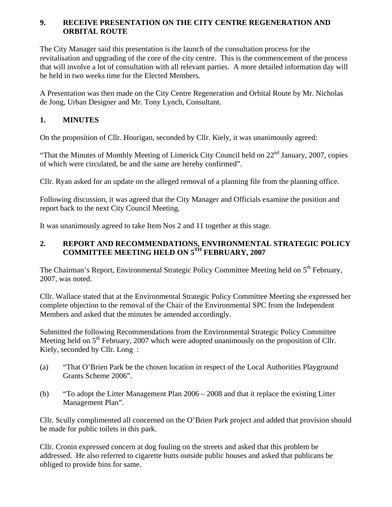### **9. RECEIVE PRESENTATION ON THE CITY CENTRE REGENERATION AND ORBITAL ROUTE**

The City Manager said this presentation is the launch of the consultation process for the revitalisation and upgrading of the core of the city centre. This is the commencement of the process that will involve a lot of consultation with all relevant parties. A more detailed information day will be held in two weeks time for the Elected Members.

A Presentation was then made on the City Centre Regeneration and Orbital Route by Mr. Nicholas de Jong, Urban Designer and Mr. Tony Lynch, Consultant.

# **1. MINUTES**

On the proposition of Cllr. Hourigan, seconded by Cllr. Kiely, it was unanimously agreed:

"That the Minutes of Monthly Meeting of Limerick City Council held on 22<sup>nd</sup> January, 2007, copies of which were circulated, be and the same are hereby confirmed".

Cllr. Ryan asked for an update on the alleged removal of a planning file from the planning office.

Following discussion, it was agreed that the City Manager and Officials examine the position and report back to the next City Council Meeting.

It was unanimously agreed to take Item Nos 2 and 11 together at this stage.

### **2. REPORT AND RECOMMENDATIONS, ENVIRONMENTAL STRATEGIC POLICY COMMITTEE MEETING HELD ON 5TH FEBRUARY, 2007**

The Chairman's Report, Environmental Strategic Policy Committee Meeting held on 5<sup>th</sup> February, 2007, was noted.

Cllr. Wallace stated that at the Environmental Strategic Policy Committee Meeting she expressed her complete objection to the removal of the Chair of the Environmental SPC from the Independent Members and asked that the minutes be amended accordingly.

Submitted the following Recommendations from the Environmental Strategic Policy Committee Meeting held on  $5<sup>th</sup>$  February, 2007 which were adopted unanimously on the proposition of Cllr. Kiely, seconded by Cllr. Long :

- (a) "That O'Brien Park be the chosen location in respect of the Local Authorities Playground Grants Scheme 2006".
- (b) "To adopt the Litter Management Plan 2006 2008 and that it replace the existing Litter Management Plan".

Cllr. Scully complimented all concerned on the O'Brien Park project and added that provision should be made for public toilets in this park.

Cllr. Cronin expressed concern at dog fouling on the streets and asked that this problem be addressed. He also referred to cigarette butts outside public houses and asked that publicans be obliged to provide bins for same.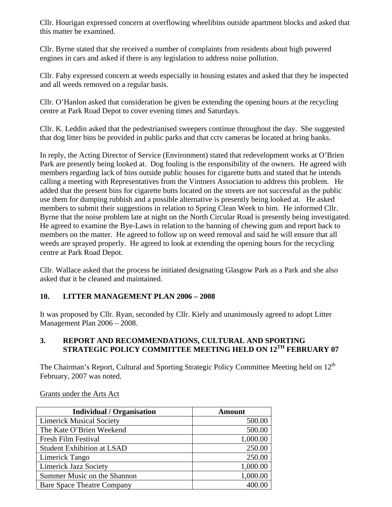Cllr. Hourigan expressed concern at overflowing wheelibins outside apartment blocks and asked that this matter be examined.

Cllr. Byrne stated that she received a number of complaints from residents about high powered engines in cars and asked if there is any legislation to address noise pollution.

Cllr. Fahy expressed concern at weeds especially in housing estates and asked that they be inspected and all weeds removed on a regular basis.

Cllr. O'Hanlon asked that consideration be given be extending the opening hours at the recycling centre at Park Road Depot to cover evening times and Saturdays.

Cllr. K. Leddin asked that the pedestrianised sweepers continue throughout the day. She suggested that dog litter bins be provided in public parks and that cctv cameras be located at bring banks.

In reply, the Acting Director of Service (Environment) stated that redevelopment works at O'Brien Park are presently being looked at. Dog fouling is the responsibility of the owners. He agreed with members regarding lack of bins outside public houses for cigarette butts and stated that he intends calling a meeting with Representatives from the Vintners Association to address this problem. He added that the present bins for cigarette butts located on the streets are not successful as the public use them for dumping rubbish and a possible alternative is presently being looked at. He asked members to submit their suggestions in relation to Spring Clean Week to him. He informed Cllr. Byrne that the noise problem late at night on the North Circular Road is presently being investigated. He agreed to examine the Bye-Laws in relation to the banning of chewing gum and report back to members on the matter. He agreed to follow up on weed removal and said he will ensure that all weeds are sprayed properly. He agreed to look at extending the opening hours for the recycling centre at Park Road Depot.

Cllr. Wallace asked that the process be initiated designating Glasgow Park as a Park and she also asked that it be cleaned and maintained.

### **10. LITTER MANAGEMENT PLAN 2006 – 2008**

It was proposed by Cllr. Ryan, seconded by Cllr. Kiely and unanimously agreed to adopt Litter Management Plan 2006 – 2008.

### **3. REPORT AND RECOMMENDATIONS, CULTURAL AND SPORTING STRATEGIC POLICY COMMITTEE MEETING HELD ON 12TH FEBRUARY 07**

The Chairman's Report, Cultural and Sporting Strategic Policy Committee Meeting held on 12<sup>th</sup> February, 2007 was noted.

#### Grants under the Arts Act

| <b>Individual / Organisation</b>  | <b>Amount</b> |
|-----------------------------------|---------------|
| <b>Limerick Musical Society</b>   | 500.00        |
| The Kate O'Brien Weekend          | 500.00        |
| Fresh Film Festival               | 1,000.00      |
| <b>Student Exhibition at LSAD</b> | 250.00        |
| Limerick Tango                    | 250.00        |
| <b>Limerick Jazz Society</b>      | 1,000.00      |
| Summer Music on the Shannon       | 1,000.00      |
| <b>Bare Space Theatre Company</b> |               |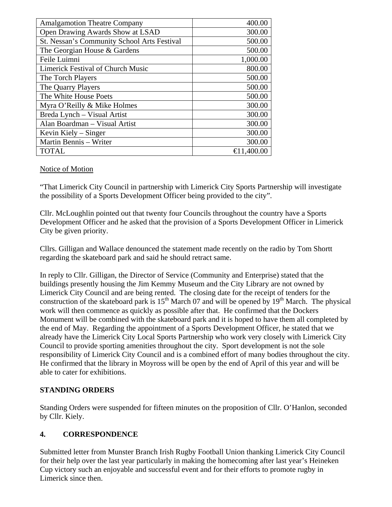| <b>Amalgamotion Theatre Company</b>         | 400.00               |
|---------------------------------------------|----------------------|
| Open Drawing Awards Show at LSAD            | 300.00               |
| St. Nessan's Community School Arts Festival | 500.00               |
| The Georgian House & Gardens                | 500.00               |
| Feile Luimni                                | 1,000.00             |
| <b>Limerick Festival of Church Music</b>    | 800.00               |
| The Torch Players                           | 500.00               |
| The Quarry Players                          | 500.00               |
| The White House Poets                       | 500.00               |
| Myra O'Reilly & Mike Holmes                 | 300.00               |
| Breda Lynch - Visual Artist                 | 300.00               |
| Alan Boardman - Visual Artist               | 300.00               |
| Kevin Kiely – Singer                        | 300.00               |
| Martin Bennis - Writer                      | 300.00               |
| <b>TOTAL</b>                                | $\bigoplus$ 1,400.00 |

#### Notice of Motion

"That Limerick City Council in partnership with Limerick City Sports Partnership will investigate the possibility of a Sports Development Officer being provided to the city".

Cllr. McLoughlin pointed out that twenty four Councils throughout the country have a Sports Development Officer and he asked that the provision of a Sports Development Officer in Limerick City be given priority.

Cllrs. Gilligan and Wallace denounced the statement made recently on the radio by Tom Shortt regarding the skateboard park and said he should retract same.

In reply to Cllr. Gilligan, the Director of Service (Community and Enterprise) stated that the buildings presently housing the Jim Kemmy Museum and the City Library are not owned by Limerick City Council and are being rented. The closing date for the receipt of tenders for the construction of the skateboard park is  $15<sup>th</sup>$  March 07 and will be opened by  $19<sup>th</sup>$  March. The physical work will then commence as quickly as possible after that. He confirmed that the Dockers Monument will be combined with the skateboard park and it is hoped to have them all completed by the end of May. Regarding the appointment of a Sports Development Officer, he stated that we already have the Limerick City Local Sports Partnership who work very closely with Limerick City Council to provide sporting amenities throughout the city. Sport development is not the sole responsibility of Limerick City Council and is a combined effort of many bodies throughout the city. He confirmed that the library in Moyross will be open by the end of April of this year and will be able to cater for exhibitions.

### **STANDING ORDERS**

Standing Orders were suspended for fifteen minutes on the proposition of Cllr. O'Hanlon, seconded by Cllr. Kiely.

# **4. CORRESPONDENCE**

Submitted letter from Munster Branch Irish Rugby Football Union thanking Limerick City Council for their help over the last year particularly in making the homecoming after last year's Heineken Cup victory such an enjoyable and successful event and for their efforts to promote rugby in Limerick since then.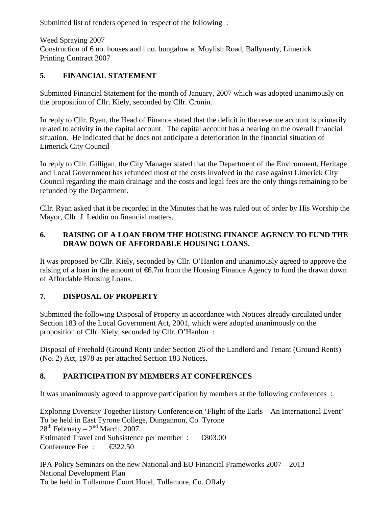Submitted list of tenders opened in respect of the following :

Weed Spraying 2007 Construction of 6 no. houses and l no. bungalow at Moylish Road, Ballynanty, Limerick Printing Contract 2007

# **5. FINANCIAL STATEMENT**

Submitted Financial Statement for the month of January, 2007 which was adopted unanimously on the proposition of Cllr. Kiely, seconded by Cllr. Cronin.

In reply to Cllr. Ryan, the Head of Finance stated that the deficit in the revenue account is primarily related to activity in the capital account. The capital account has a bearing on the overall financial situation. He indicated that he does not anticipate a deterioration in the financial situation of Limerick City Council

In reply to Cllr. Gilligan, the City Manager stated that the Department of the Environment, Heritage and Local Government has refunded most of the costs involved in the case against Limerick City Council regarding the main drainage and the costs and legal fees are the only things remaining to be refunded by the Department.

Cllr. Ryan asked that it be recorded in the Minutes that he was ruled out of order by His Worship the Mayor, Cllr. J. Leddin on financial matters.

## **6. RAISING OF A LOAN FROM THE HOUSING FINANCE AGENCY TO FUND THE DRAW DOWN OF AFFORDABLE HOUSING LOANS.**

It was proposed by Cllr. Kiely, seconded by Cllr. O'Hanlon and unanimously agreed to approve the raising of a loan in the amount of  $6.7m$  from the Housing Finance Agency to fund the drawn down of Affordable Housing Loans.

# **7. DISPOSAL OF PROPERTY**

Submitted the following Disposal of Property in accordance with Notices already circulated under Section 183 of the Local Government Act, 2001, which were adopted unanimously on the proposition of Cllr. Kiely, seconded by Cllr. O'Hanlon :

Disposal of Freehold (Ground Rent) under Section 26 of the Landlord and Tenant (Ground Rents) (No. 2) Act, 1978 as per attached Section 183 Notices.

# **8. PARTICIPATION BY MEMBERS AT CONFERENCES**

It was unanimously agreed to approve participation by members at the following conferences :

Exploring Diversity Together History Conference on 'Flight of the Earls – An International Event' To be held in East Tyrone College, Dungannon, Co. Tyrone  $28<sup>th</sup>$  February –  $2<sup>nd</sup>$  March, 2007. Estimated Travel and Subsistence per member : €803.00 Conference Fee : <del>€3</del>22.50

IPA Policy Seminars on the new National and EU Financial Frameworks 2007 – 2013 National Development Plan To be held in Tullamore Court Hotel, Tullamore, Co. Offaly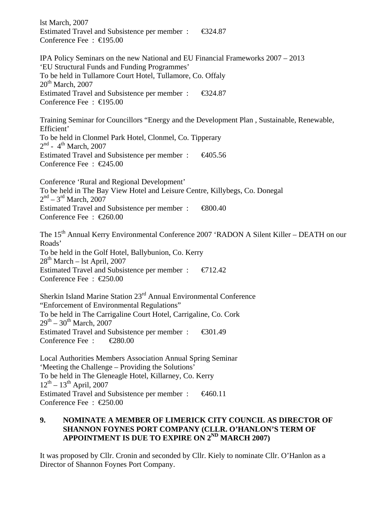lst March, 2007 Estimated Travel and Subsistence per member : €324.87 Conference Fee : €195.00 IPA Policy Seminars on the new National and EU Financial Frameworks 2007 – 2013 'EU Structural Funds and Funding Programmes' To be held in Tullamore Court Hotel, Tullamore, Co. Offaly  $20<sup>th</sup>$  March, 2007 Estimated Travel and Subsistence per member : €324.87 Conference Fee : €195.00 Training Seminar for Councillors "Energy and the Development Plan , Sustainable, Renewable, Efficient'

To be held in Clonmel Park Hotel, Clonmel, Co. Tipperary  $2<sup>nd</sup>$  - 4<sup>th</sup> March, 2007 Estimated Travel and Subsistence per member : €405.56 Conference Fee : €245.00

Conference 'Rural and Regional Development' To be held in The Bay View Hotel and Leisure Centre, Killybegs, Co. Donegal  $2<sup>nd</sup> - 3<sup>rd</sup>$  March, 2007 Estimated Travel and Subsistence per member : €800.40 Conference Fee : €260.00

The 15<sup>th</sup> Annual Kerry Environmental Conference 2007 'RADON A Silent Killer – DEATH on our Roads' To be held in the Golf Hotel, Ballybunion, Co. Kerry  $28<sup>th</sup> March – 1st April, 2007$ Estimated Travel and Subsistence per member :  $\epsilon$  = 12.42 Conference Fee : €250.00

Sherkin Island Marine Station 23rd Annual Environmental Conference "Enforcement of Environmental Regulations" To be held in The Carrigaline Court Hotel, Carrigaline, Co. Cork  $29^{th} - 30^{th}$  March, 2007 Estimated Travel and Subsistence per member : €301.49 Conference Fee : €280.00

Local Authorities Members Association Annual Spring Seminar 'Meeting the Challenge – Providing the Solutions' To be held in The Gleneagle Hotel, Killarney, Co. Kerry  $12^{th} - 13^{th}$  April, 2007 Estimated Travel and Subsistence per member :  $\epsilon$ 460.11 Conference Fee : €250.00

#### **9. NOMINATE A MEMBER OF LIMERICK CITY COUNCIL AS DIRECTOR OF SHANNON FOYNES PORT COMPANY (CLLR. O'HANLON'S TERM OF APPOINTMENT IS DUE TO EXPIRE ON 2ND MARCH 2007)**

It was proposed by Cllr. Cronin and seconded by Cllr. Kiely to nominate Cllr. O'Hanlon as a Director of Shannon Foynes Port Company.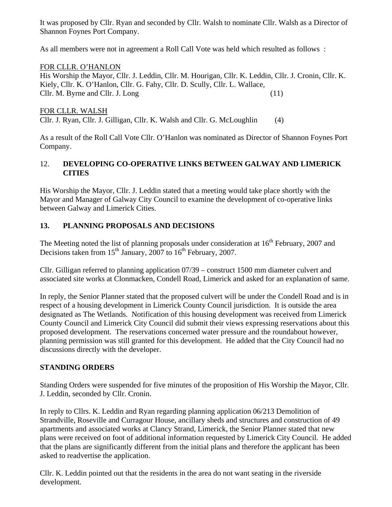It was proposed by Cllr. Ryan and seconded by Cllr. Walsh to nominate Cllr. Walsh as a Director of Shannon Foynes Port Company.

As all members were not in agreement a Roll Call Vote was held which resulted as follows :

### FOR CLLR. O'HANLON

His Worship the Mayor, Cllr. J. Leddin, Cllr. M. Hourigan, Cllr. K. Leddin, Cllr. J. Cronin, Cllr. K. Kiely, Cllr. K. O'Hanlon, Cllr. G. Fahy, Cllr. D. Scully, Cllr. L. Wallace, Cllr. M. Byrne and Cllr. J. Long (11)

### FOR CLLR. WALSH

Cllr. J. Ryan, Cllr. J. Gilligan, Cllr. K. Walsh and Cllr. G. McLoughlin (4)

As a result of the Roll Call Vote Cllr. O'Hanlon was nominated as Director of Shannon Foynes Port Company.

### 12. **DEVELOPING CO-OPERATIVE LINKS BETWEEN GALWAY AND LIMERICK CITIES**

His Worship the Mayor, Cllr. J. Leddin stated that a meeting would take place shortly with the Mayor and Manager of Galway City Council to examine the development of co-operative links between Galway and Limerick Cities.

### **13. PLANNING PROPOSALS AND DECISIONS**

The Meeting noted the list of planning proposals under consideration at  $16<sup>th</sup>$  February, 2007 and Decisions taken from  $15<sup>th</sup>$  January, 2007 to  $16<sup>th</sup>$  February, 2007.

Cllr. Gilligan referred to planning application 07/39 – construct 1500 mm diameter culvert and associated site works at Clonmacken, Condell Road, Limerick and asked for an explanation of same.

In reply, the Senior Planner stated that the proposed culvert will be under the Condell Road and is in respect of a housing development in Limerick County Council jurisdiction. It is outside the area designated as The Wetlands. Notification of this housing development was received from Limerick County Council and Limerick City Council did submit their views expressing reservations about this proposed development. The reservations concerned water pressure and the roundabout however, planning permission was still granted for this development. He added that the City Council had no discussions directly with the developer.

### **STANDING ORDERS**

Standing Orders were suspended for five minutes of the proposition of His Worship the Mayor, Cllr. J. Leddin, seconded by Cllr. Cronin.

In reply to Cllrs. K. Leddin and Ryan regarding planning application 06/213 Demolition of Strandville, Roseville and Curragour House, ancillary sheds and structures and construction of 49 apartments and associated works at Clancy Strand, Limerick, the Senior Planner stated that new plans were received on foot of additional information requested by Limerick City Council. He added that the plans are significantly different from the initial plans and therefore the applicant has been asked to readvertise the application.

Cllr. K. Leddin pointed out that the residents in the area do not want seating in the riverside development.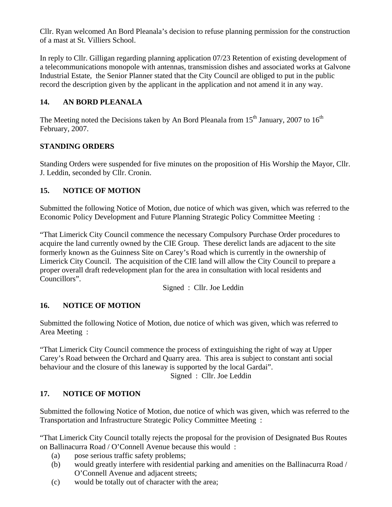Cllr. Ryan welcomed An Bord Pleanala's decision to refuse planning permission for the construction of a mast at St. Villiers School.

In reply to Cllr. Gilligan regarding planning application 07/23 Retention of existing development of a telecommunications monopole with antennas, transmission dishes and associated works at Galvone Industrial Estate, the Senior Planner stated that the City Council are obliged to put in the public record the description given by the applicant in the application and not amend it in any way.

# **14. AN BORD PLEANALA**

The Meeting noted the Decisions taken by An Bord Pleanala from  $15<sup>th</sup>$  January, 2007 to  $16<sup>th</sup>$ February, 2007.

# **STANDING ORDERS**

Standing Orders were suspended for five minutes on the proposition of His Worship the Mayor, Cllr. J. Leddin, seconded by Cllr. Cronin.

# **15. NOTICE OF MOTION**

Submitted the following Notice of Motion, due notice of which was given, which was referred to the Economic Policy Development and Future Planning Strategic Policy Committee Meeting :

"That Limerick City Council commence the necessary Compulsory Purchase Order procedures to acquire the land currently owned by the CIE Group. These derelict lands are adjacent to the site formerly known as the Guinness Site on Carey's Road which is currently in the ownership of Limerick City Council. The acquisition of the CIE land will allow the City Council to prepare a proper overall draft redevelopment plan for the area in consultation with local residents and Councillors".

Signed : Cllr. Joe Leddin

# **16. NOTICE OF MOTION**

Submitted the following Notice of Motion, due notice of which was given, which was referred to Area Meeting :

"That Limerick City Council commence the process of extinguishing the right of way at Upper Carey's Road between the Orchard and Quarry area. This area is subject to constant anti social behaviour and the closure of this laneway is supported by the local Gardai".

Signed : Cllr. Joe Leddin

# **17. NOTICE OF MOTION**

Submitted the following Notice of Motion, due notice of which was given, which was referred to the Transportation and Infrastructure Strategic Policy Committee Meeting :

"That Limerick City Council totally rejects the proposal for the provision of Designated Bus Routes on Ballinacurra Road / O'Connell Avenue because this would :

- (a) pose serious traffic safety problems;
- (b) would greatly interfere with residential parking and amenities on the Ballinacurra Road / O'Connell Avenue and adjacent streets;
- (c) would be totally out of character with the area;